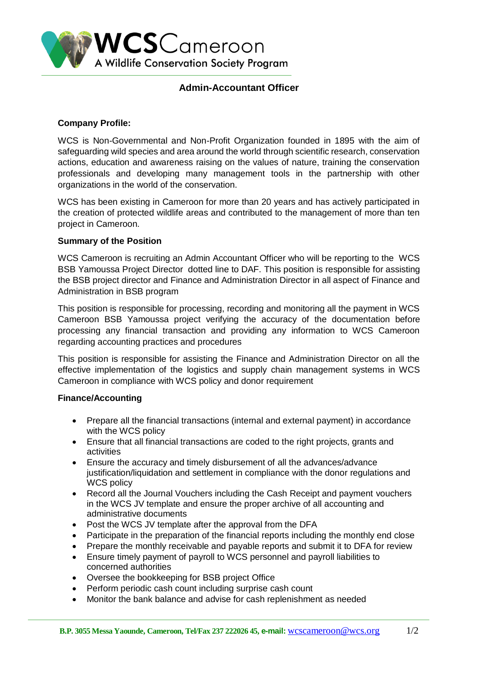

## **Admin-Accountant Officer**

### **Company Profile:**

WCS is Non-Governmental and Non-Profit Organization founded in 1895 with the aim of safeguarding wild species and area around the world through scientific research, conservation actions, education and awareness raising on the values of nature, training the conservation professionals and developing many management tools in the partnership with other organizations in the world of the conservation.

WCS has been existing in Cameroon for more than 20 years and has actively participated in the creation of protected wildlife areas and contributed to the management of more than ten project in Cameroon.

### **Summary of the Position**

WCS Cameroon is recruiting an Admin Accountant Officer who will be reporting to the WCS BSB Yamoussa Project Director dotted line to DAF. This position is responsible for assisting the BSB project director and Finance and Administration Director in all aspect of Finance and Administration in BSB program

This position is responsible for processing, recording and monitoring all the payment in WCS Cameroon BSB Yamoussa project verifying the accuracy of the documentation before processing any financial transaction and providing any information to WCS Cameroon regarding accounting practices and procedures

This position is responsible for assisting the Finance and Administration Director on all the effective implementation of the logistics and supply chain management systems in WCS Cameroon in compliance with WCS policy and donor requirement

#### **Finance/Accounting**

- Prepare all the financial transactions (internal and external payment) in accordance with the WCS policy
- Ensure that all financial transactions are coded to the right projects, grants and activities
- Ensure the accuracy and timely disbursement of all the advances/advance justification/liquidation and settlement in compliance with the donor regulations and WCS policy
- Record all the Journal Vouchers including the Cash Receipt and payment vouchers in the WCS JV template and ensure the proper archive of all accounting and administrative documents
- Post the WCS JV template after the approval from the DFA
- Participate in the preparation of the financial reports including the monthly end close
- Prepare the monthly receivable and payable reports and submit it to DFA for review
- Ensure timely payment of payroll to WCS personnel and payroll liabilities to concerned authorities
- Oversee the bookkeeping for BSB project Office
- Perform periodic cash count including surprise cash count
- Monitor the bank balance and advise for cash replenishment as needed